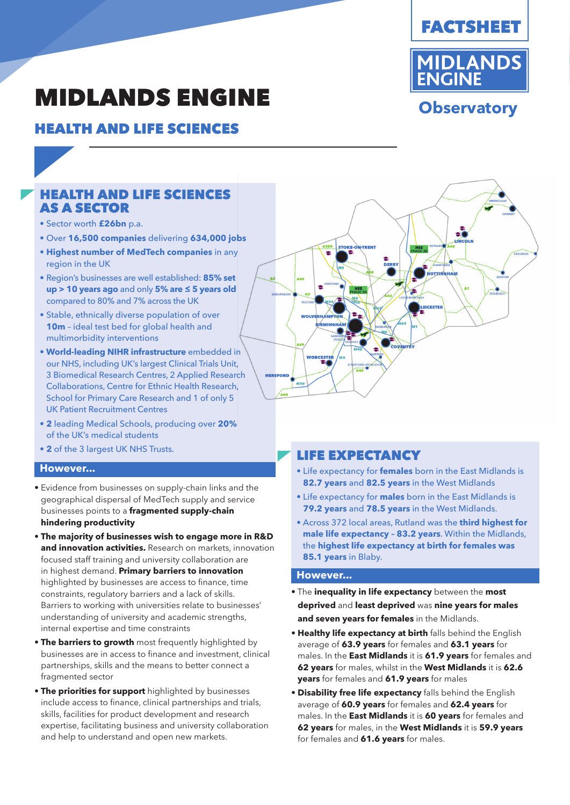FACTSHEET



**Observatory**

# MIDLANDS ENGINE

# HEALTH AND LIFE SCIENCES

### HEALTH AND LIFE SCIENCES AS A SECTOR

- Sector worth **£26bn** p.a.
- Over **16,500 companies** delivering **634,000 jobs**
- **Highest number of MedTech companies** in any region in the UK
- Region's businesses are well established: **85% set up > 10 years ago** and only **5% are ≤ 5 years old** compared to 80% and 7% across the UK
- Stable, ethnically diverse population of over **10m** – ideal test bed for global health and multimorbidity interventions
- **World-leading NIHR infrastructure** embedded in our NHS, including UK's largest Clinical Trials Unit, 3 Biomedical Research Centres, 2 Applied Research Collaborations, Centre for Ethnic Health Research, School for Primary Care Research and 1 of only 5 UK Patient Recruitment Centres
- **2** leading Medical Schools, producing over **20%** of the UK's medical students
- **2** of the 3 largest UK NHS Trusts.

#### **However...**

- Evidence from businesses on supply-chain links and the geographical dispersal of MedTech supply and service businesses points to a **fragmented supply-chain hindering productivity**
- **The majority of businesses wish to engage more in R&D and innovation activities.** Research on markets, innovation focused staff training and university collaboration are in highest demand. **Primary barriers to innovation** highlighted by businesses are access to finance, time constraints, regulatory barriers and a lack of skills. Barriers to working with universities relate to businesses' understanding of university and academic strengths, internal expertise and time constraints
- **The barriers to growth** most frequently highlighted by businesses are in access to finance and investment, clinical partnerships, skills and the means to better connect a fragmented sector
- **The priorities for support** highlighted by businesses include access to finance, clinical partnerships and trials, skills, facilities for product development and research expertise, facilitating business and university collaboration and help to understand and open new markets.



## LIFE EXPECTANCY

- Life expectancy for **females** born in the East Midlands is **82.7 years** and **82.5 years** in the West Midlands
- Life expectancy for **males** born in the East Midlands is **79.2 years** and **78.5 years** in the West Midlands.
- Across 372 local areas, Rutland was the **third highest for male life expectancy – 83.2 years**. Within the Midlands, the **highest life expectancy at birth for females was 85.1 years** in Blaby.

#### **However...**

- The **inequality in life expectancy** between the **most deprived** and **least deprived** was **nine years for males and seven years for females** in the Midlands.
- **Healthy life expectancy at birth** falls behind the English average of **63.9 years** for females and **63.1 years** for males. In the **East Midlands** it is **61.9 years** for females and **62 years** for males, whilst in the **West Midlands** it is **62.6 years** for females and **61.9 years** for males
- **Disability free life expectancy** falls behind the English average of **60.9 years** for females and **62.4 years** for males. In the **East Midlands** it is **60 years** for females and **62 years** for males, in the **West Midlands** it is **59.9 years** for females and **61.6 years** for males.